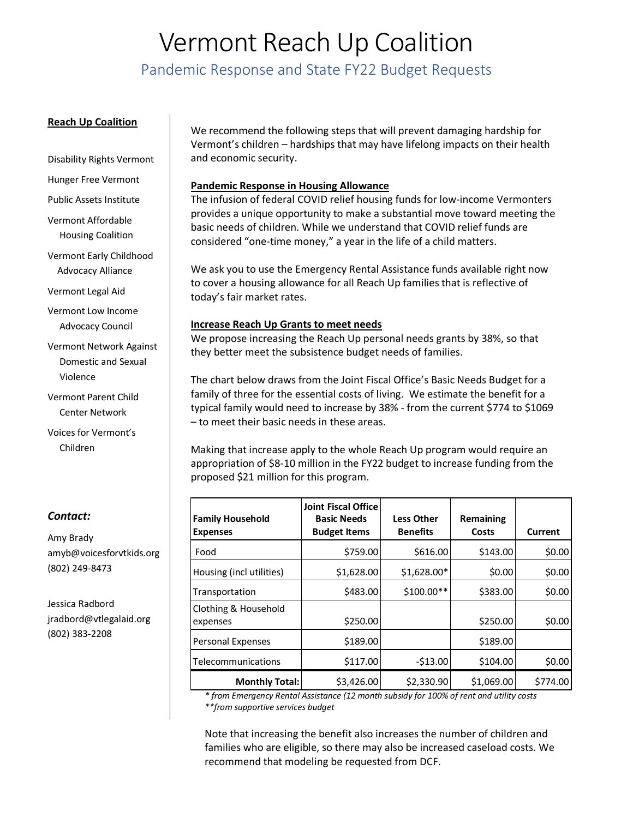# Vermont Reach Up Coalition

Pandemic Response and State FY22 Budget Requests

#### **Reach Up Coalition**

Disability Rights Vermont

Hunger Free Vermont

Public Assets Institute

Vermont Affordable Housing Coalition

Vermont Early Childhood Advocacy Alliance

Vermont Legal Aid

Vermont Low Income Advocacy Council

Vermont Network Against Domestic and Sexual Violence

Vermont Parent Child Center Network

Voices for Vermont's Children

### *Contact:*

Amy Brady amyb@voicesforvtkids.org (802) 249-8473

Jessica Radbord jradbord@vtlegalaid.org (802) 383-2208

We recommend the following steps that will prevent damaging hardship for Vermont's children – hardships that may have lifelong impacts on their health and economic security.

#### **Pandemic Response in Housing Allowance**

The infusion of federal COVID relief housing funds for low-income Vermonters provides a unique opportunity to make a substantial move toward meeting the basic needs of children. While we understand that COVID relief funds are considered "one-time money," a year in the life of a child matters.

We ask you to use the Emergency Rental Assistance funds available right now to cover a housing allowance for all Reach Up families that is reflective of today's fair market rates.

#### **Increase Reach Up Grants to meet needs**

We propose increasing the Reach Up personal needs grants by 38%, so that they better meet the subsistence budget needs of families.

The chart below draws from the Joint Fiscal Office's Basic Needs Budget for a family of three for the essential costs of living. We estimate the benefit for a typical family would need to increase by 38% - from the current \$774 to \$1069 – to meet their basic needs in these areas.

Making that increase apply to the whole Reach Up program would require an appropriation of \$8-10 million in the FY22 budget to increase funding from the proposed \$21 million for this program.

| <b>Family Household</b><br><b>Expenses</b> | <b>Joint Fiscal Office</b><br><b>Basic Needs</b><br><b>Budget Items</b> | <b>Less Other</b><br><b>Benefits</b> | Remaining<br>Costs | Current  |
|--------------------------------------------|-------------------------------------------------------------------------|--------------------------------------|--------------------|----------|
| Food                                       | \$759.00                                                                | \$616.00                             | \$143.00           | \$0.00   |
| Housing (incl utilities)                   | \$1,628.00                                                              | $$1,628.00*$                         | \$0.00             | \$0.00   |
| Transportation                             | \$483.00                                                                | \$100.00**                           | \$383.00           | \$0.00   |
| Clothing & Household<br>expenses           | \$250.00                                                                |                                      | \$250.00           | \$0.00   |
| <b>Personal Expenses</b>                   | \$189.00                                                                |                                      | \$189.00           |          |
| Telecommunications                         | \$117.00                                                                | $-$13.00$                            | \$104.00           | \$0.00   |
| <b>Monthly Total:</b>                      | \$3,426.00                                                              | \$2,330.90                           | \$1,069.00         | \$774.00 |

*\* from Emergency Rental Assistance (12 month subsidy for 100% of rent and utility costs \*\*from supportive services budget*

Note that increasing the benefit also increases the number of children and families who are eligible, so there may also be increased caseload costs. We recommend that modeling be requested from DCF.